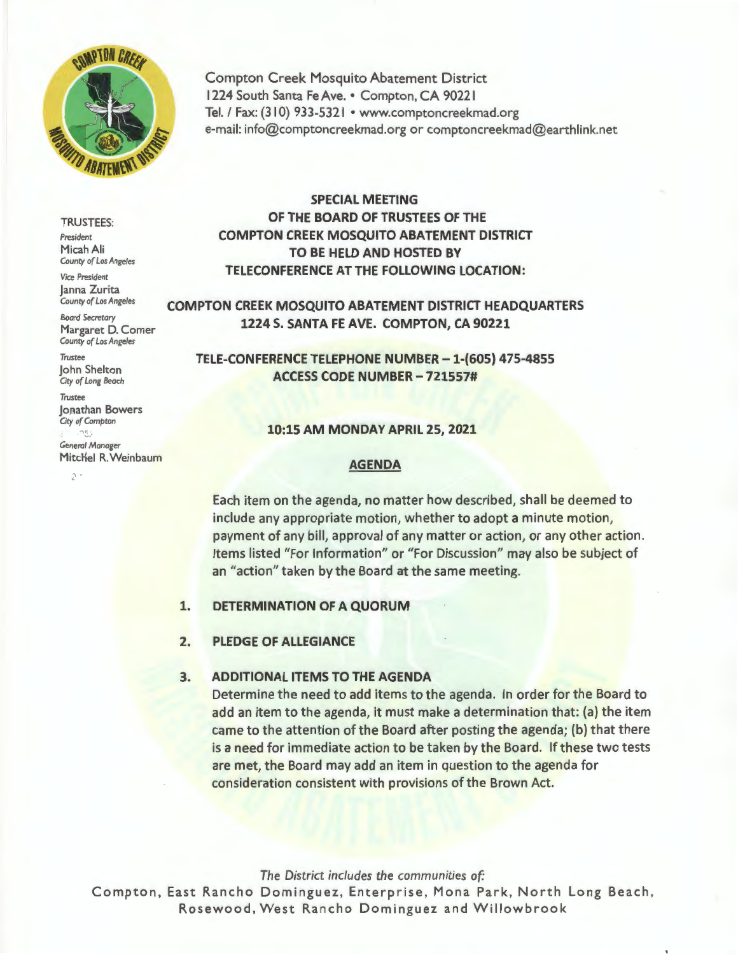

Compton Creek Mosquito Abatement District 1224 South Santa Fe Ave. • Compton, CA 90221 Tel. / Fax: (310) 933-5321 • www.comptoncreekmad.org e-mail: info@comptoncreekmad.org or comptoncreekmad@earthlink.net

#### TRUSTEES:

*President*  Micah Ali *County of Los Angeles* 

*Vice President*  Janna Zurita *County of Los Angeles* 

*Boord Secretary*  Margaret D. Comer *County of Los Angeles* 

*Trustee*  John Shelton *City af Long Beach* 

*Trustee*  Jonathan Bowers **City of Compton** 

 $2 -$ 

*General Manager*  Mitchel R. Weinbaum

# **SPECIAL MEETING OF THE BOARD OF TRUSTEES OF THE COMPTON CREEK MOSQUITO ABATEMENT DISTRICT TO BE HELD AND HOSTED BY TELECONFERENCE AT THE FOLLOWING LOCATION:**

**COMPTON CREEK MOSQUITO ABATEMENT DISTRICT HEADQUARTERS 1224 S. SANTA FE AVE. COMPTON, CA 90221** 

**TELE-CONFERENCE TELEPHONE NUMBER -1-(605) 475-4855 ACCESS CODE NUMBER - 721557#** 

#### **10:15 AM MONDAY APRIL 25, 2021**

#### **AGENDA**

Each item on the agenda, no matter how described, shall be deemed to include any appropriate motion, whether to adopt a minute motion, payment of any bill, approval of any matter or action, or any other action. Items listed "For Information" or "For Discussion" may also be subject of an "action" taken by the Board at the same meeting.

**1. DETERMINATION OF A QUORUM** 

### **2. PLEDGE OF ALLEGIANCE**

### **3. ADDITIONAL ITEMS TO THE AGENDA**

Determine the need to add items to the agenda. In order for the Board to add an item to the agenda, it must make a determination that: (a) the item came to the attention of the Board after posting the agenda; (b) that there is a need for immediate action to be taken by the Board. If these two tests are met, the Board may add an item in question to the agenda for consideration consistent with provisions of the Brown Act.

*The District includes the communities of:* 

Compton, East Rancho Dominguez, Enterprise, Mona Park, North Long Beach, Rosewood, West Rancho Dominguez and Willowbrook